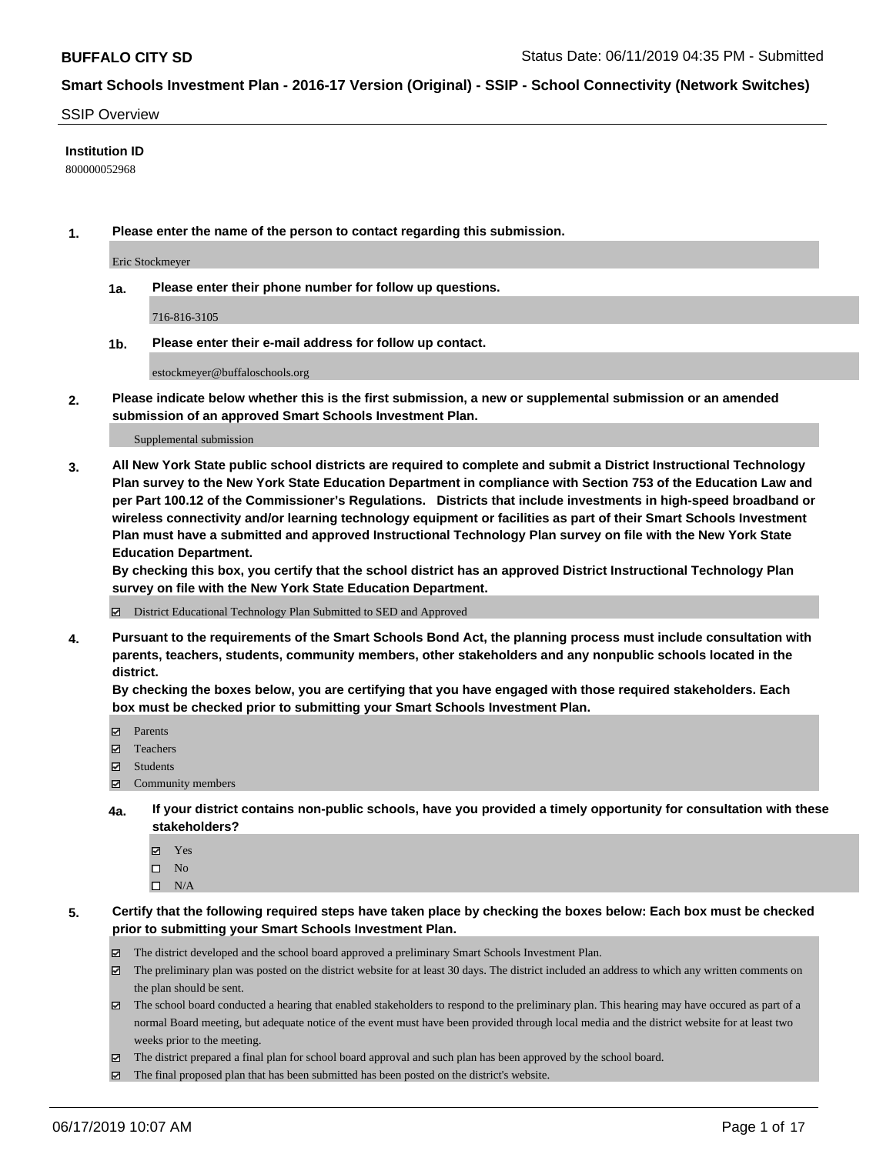#### SSIP Overview

### **Institution ID**

800000052968

**1. Please enter the name of the person to contact regarding this submission.**

Eric Stockmeyer

**1a. Please enter their phone number for follow up questions.**

716-816-3105

**1b. Please enter their e-mail address for follow up contact.**

estockmeyer@buffaloschools.org

**2. Please indicate below whether this is the first submission, a new or supplemental submission or an amended submission of an approved Smart Schools Investment Plan.**

#### Supplemental submission

**3. All New York State public school districts are required to complete and submit a District Instructional Technology Plan survey to the New York State Education Department in compliance with Section 753 of the Education Law and per Part 100.12 of the Commissioner's Regulations. Districts that include investments in high-speed broadband or wireless connectivity and/or learning technology equipment or facilities as part of their Smart Schools Investment Plan must have a submitted and approved Instructional Technology Plan survey on file with the New York State Education Department.** 

**By checking this box, you certify that the school district has an approved District Instructional Technology Plan survey on file with the New York State Education Department.**

District Educational Technology Plan Submitted to SED and Approved

**4. Pursuant to the requirements of the Smart Schools Bond Act, the planning process must include consultation with parents, teachers, students, community members, other stakeholders and any nonpublic schools located in the district.** 

**By checking the boxes below, you are certifying that you have engaged with those required stakeholders. Each box must be checked prior to submitting your Smart Schools Investment Plan.**

- Parents
- Teachers
- Students
- Community members
- **4a. If your district contains non-public schools, have you provided a timely opportunity for consultation with these stakeholders?**
	- Yes
	- $\square$  No
	- $\square$  N/A
- **5. Certify that the following required steps have taken place by checking the boxes below: Each box must be checked prior to submitting your Smart Schools Investment Plan.**
	- The district developed and the school board approved a preliminary Smart Schools Investment Plan.
	- $\boxtimes$  The preliminary plan was posted on the district website for at least 30 days. The district included an address to which any written comments on the plan should be sent.
	- $\boxtimes$  The school board conducted a hearing that enabled stakeholders to respond to the preliminary plan. This hearing may have occured as part of a normal Board meeting, but adequate notice of the event must have been provided through local media and the district website for at least two weeks prior to the meeting.
	- The district prepared a final plan for school board approval and such plan has been approved by the school board.
	- $\boxtimes$  The final proposed plan that has been submitted has been posted on the district's website.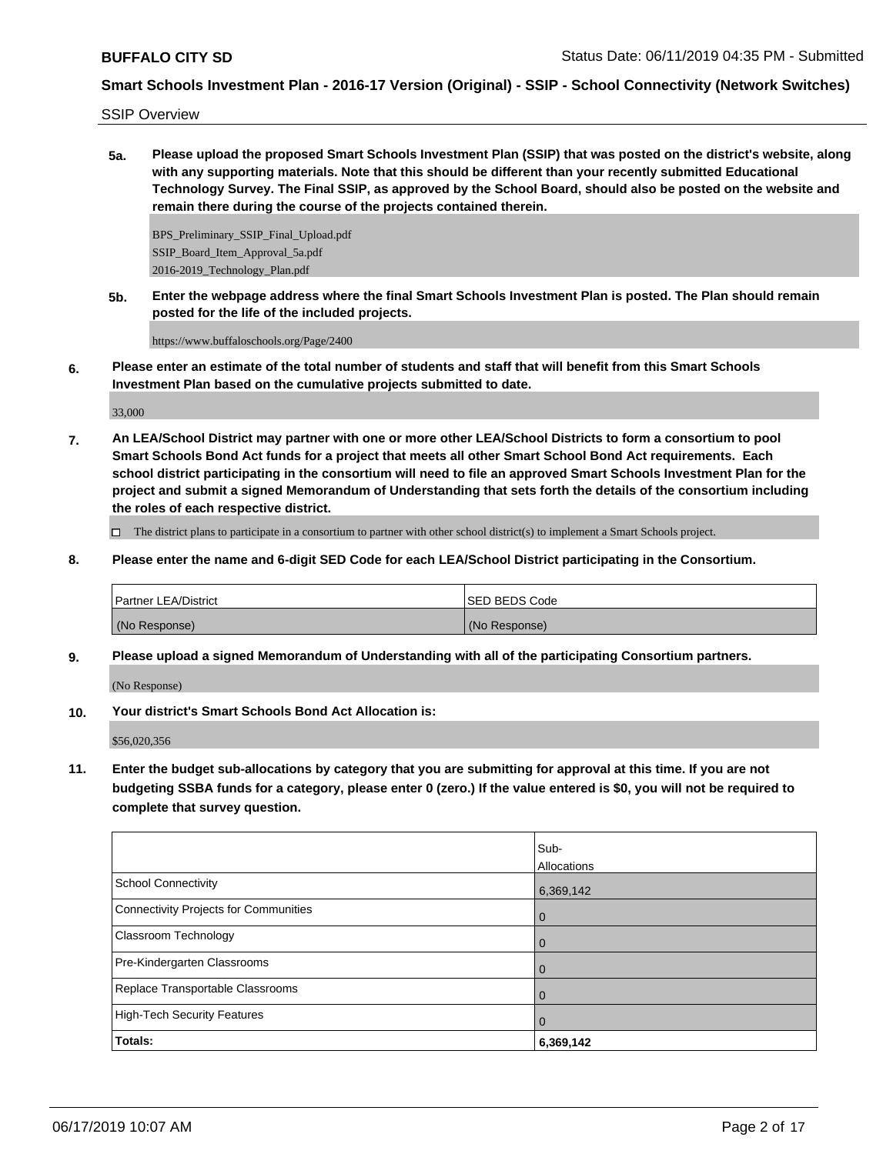SSIP Overview

**5a. Please upload the proposed Smart Schools Investment Plan (SSIP) that was posted on the district's website, along with any supporting materials. Note that this should be different than your recently submitted Educational Technology Survey. The Final SSIP, as approved by the School Board, should also be posted on the website and remain there during the course of the projects contained therein.**

BPS\_Preliminary\_SSIP\_Final\_Upload.pdf SSIP\_Board\_Item\_Approval\_5a.pdf 2016-2019\_Technology\_Plan.pdf

**5b. Enter the webpage address where the final Smart Schools Investment Plan is posted. The Plan should remain posted for the life of the included projects.**

https://www.buffaloschools.org/Page/2400

**6. Please enter an estimate of the total number of students and staff that will benefit from this Smart Schools Investment Plan based on the cumulative projects submitted to date.**

33,000

**7. An LEA/School District may partner with one or more other LEA/School Districts to form a consortium to pool Smart Schools Bond Act funds for a project that meets all other Smart School Bond Act requirements. Each school district participating in the consortium will need to file an approved Smart Schools Investment Plan for the project and submit a signed Memorandum of Understanding that sets forth the details of the consortium including the roles of each respective district.**

 $\Box$  The district plans to participate in a consortium to partner with other school district(s) to implement a Smart Schools project.

**8. Please enter the name and 6-digit SED Code for each LEA/School District participating in the Consortium.**

| Partner LEA/District | ISED BEDS Code |
|----------------------|----------------|
| (No Response)        | (No Response)  |

**9. Please upload a signed Memorandum of Understanding with all of the participating Consortium partners.**

(No Response)

**10. Your district's Smart Schools Bond Act Allocation is:**

\$56,020,356

**11. Enter the budget sub-allocations by category that you are submitting for approval at this time. If you are not budgeting SSBA funds for a category, please enter 0 (zero.) If the value entered is \$0, you will not be required to complete that survey question.**

|                                       | Sub-        |
|---------------------------------------|-------------|
|                                       | Allocations |
| School Connectivity                   | 6,369,142   |
| Connectivity Projects for Communities | 0           |
| Classroom Technology                  | 0           |
| Pre-Kindergarten Classrooms           | 0           |
| Replace Transportable Classrooms      | 0           |
| High-Tech Security Features           | 0           |
| <b>Totals:</b>                        | 6,369,142   |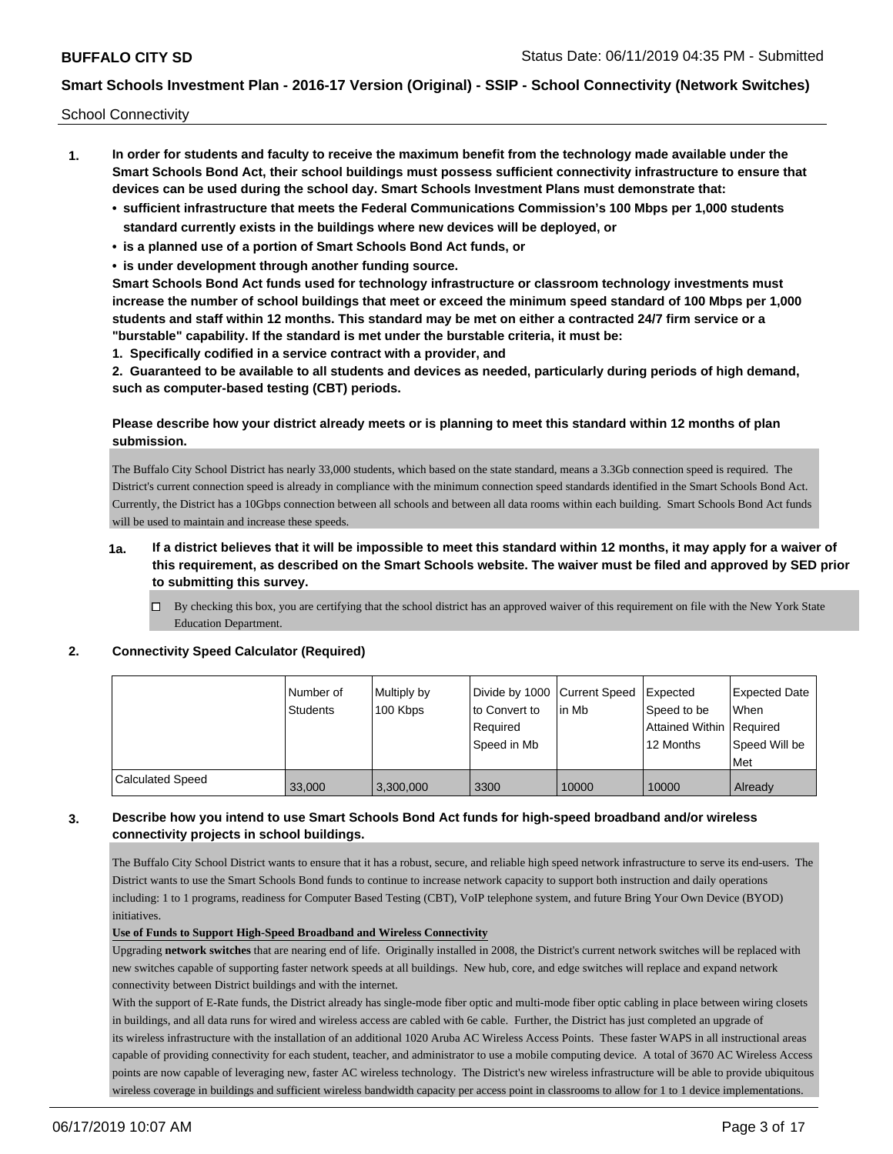School Connectivity

- **1. In order for students and faculty to receive the maximum benefit from the technology made available under the Smart Schools Bond Act, their school buildings must possess sufficient connectivity infrastructure to ensure that devices can be used during the school day. Smart Schools Investment Plans must demonstrate that:**
	- **• sufficient infrastructure that meets the Federal Communications Commission's 100 Mbps per 1,000 students standard currently exists in the buildings where new devices will be deployed, or**
	- **• is a planned use of a portion of Smart Schools Bond Act funds, or**
	- **• is under development through another funding source.**

**Smart Schools Bond Act funds used for technology infrastructure or classroom technology investments must increase the number of school buildings that meet or exceed the minimum speed standard of 100 Mbps per 1,000 students and staff within 12 months. This standard may be met on either a contracted 24/7 firm service or a "burstable" capability. If the standard is met under the burstable criteria, it must be:**

**1. Specifically codified in a service contract with a provider, and**

**2. Guaranteed to be available to all students and devices as needed, particularly during periods of high demand, such as computer-based testing (CBT) periods.**

## **Please describe how your district already meets or is planning to meet this standard within 12 months of plan submission.**

The Buffalo City School District has nearly 33,000 students, which based on the state standard, means a 3.3Gb connection speed is required. The District's current connection speed is already in compliance with the minimum connection speed standards identified in the Smart Schools Bond Act. Currently, the District has a 10Gbps connection between all schools and between all data rooms within each building. Smart Schools Bond Act funds will be used to maintain and increase these speeds.

## **1a. If a district believes that it will be impossible to meet this standard within 12 months, it may apply for a waiver of this requirement, as described on the Smart Schools website. The waiver must be filed and approved by SED prior to submitting this survey.**

 $\Box$  By checking this box, you are certifying that the school district has an approved waiver of this requirement on file with the New York State Education Department.

#### **2. Connectivity Speed Calculator (Required)**

|                         | l Number of<br><b>Students</b> | Multiply by<br>100 Kbps | to Convert to<br>l Reauired<br>Speed in Mb | Divide by 1000 Current Speed Expected<br>lin Mb | Speed to be<br>Attained Within Required<br>12 Months | <b>Expected Date</b><br>When<br>Speed Will be<br>Met |
|-------------------------|--------------------------------|-------------------------|--------------------------------------------|-------------------------------------------------|------------------------------------------------------|------------------------------------------------------|
| <b>Calculated Speed</b> | 33,000                         | 3,300,000               | 3300                                       | 10000                                           | 10000                                                | Already                                              |

## **3. Describe how you intend to use Smart Schools Bond Act funds for high-speed broadband and/or wireless connectivity projects in school buildings.**

The Buffalo City School District wants to ensure that it has a robust, secure, and reliable high speed network infrastructure to serve its end-users. The District wants to use the Smart Schools Bond funds to continue to increase network capacity to support both instruction and daily operations including: 1 to 1 programs, readiness for Computer Based Testing (CBT), VoIP telephone system, and future Bring Your Own Device (BYOD) initiatives.

### **Use of Funds to Support High-Speed Broadband and Wireless Connectivity**

Upgrading **network switches** that are nearing end of life. Originally installed in 2008, the District's current network switches will be replaced with new switches capable of supporting faster network speeds at all buildings. New hub, core, and edge switches will replace and expand network connectivity between District buildings and with the internet.

With the support of E-Rate funds, the District already has single-mode fiber optic and multi-mode fiber optic cabling in place between wiring closets in buildings, and all data runs for wired and wireless access are cabled with 6e cable. Further, the District has just completed an upgrade of its wireless infrastructure with the installation of an additional 1020 Aruba AC Wireless Access Points. These faster WAPS in all instructional areas capable of providing connectivity for each student, teacher, and administrator to use a mobile computing device. A total of 3670 AC Wireless Access points are now capable of leveraging new, faster AC wireless technology. The District's new wireless infrastructure will be able to provide ubiquitous wireless coverage in buildings and sufficient wireless bandwidth capacity per access point in classrooms to allow for 1 to 1 device implementations.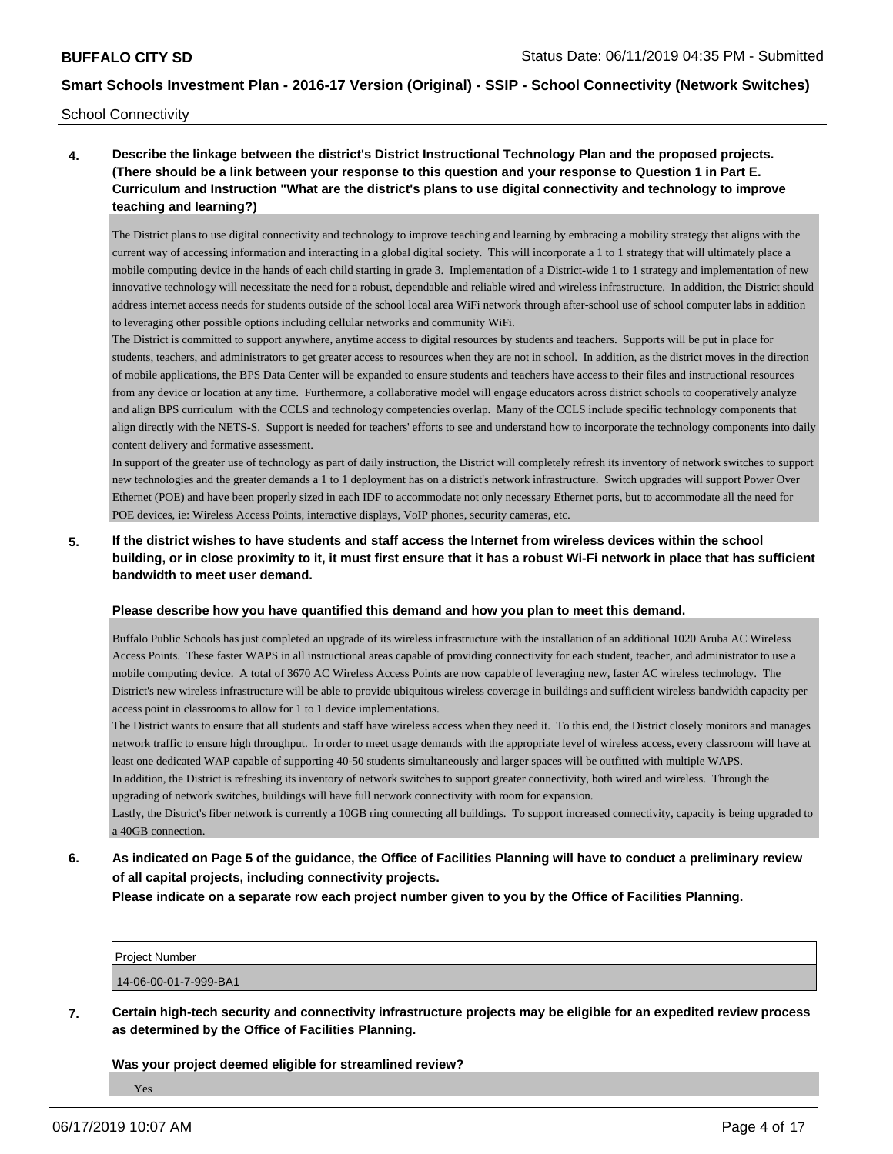School Connectivity

# **4. Describe the linkage between the district's District Instructional Technology Plan and the proposed projects. (There should be a link between your response to this question and your response to Question 1 in Part E. Curriculum and Instruction "What are the district's plans to use digital connectivity and technology to improve teaching and learning?)**

The District plans to use digital connectivity and technology to improve teaching and learning by embracing a mobility strategy that aligns with the current way of accessing information and interacting in a global digital society. This will incorporate a 1 to 1 strategy that will ultimately place a mobile computing device in the hands of each child starting in grade 3. Implementation of a District-wide 1 to 1 strategy and implementation of new innovative technology will necessitate the need for a robust, dependable and reliable wired and wireless infrastructure. In addition, the District should address internet access needs for students outside of the school local area WiFi network through after-school use of school computer labs in addition to leveraging other possible options including cellular networks and community WiFi.

The District is committed to support anywhere, anytime access to digital resources by students and teachers. Supports will be put in place for students, teachers, and administrators to get greater access to resources when they are not in school. In addition, as the district moves in the direction of mobile applications, the BPS Data Center will be expanded to ensure students and teachers have access to their files and instructional resources from any device or location at any time. Furthermore, a collaborative model will engage educators across district schools to cooperatively analyze and align BPS curriculum with the CCLS and technology competencies overlap. Many of the CCLS include specific technology components that align directly with the NETS-S. Support is needed for teachers' efforts to see and understand how to incorporate the technology components into daily content delivery and formative assessment.

In support of the greater use of technology as part of daily instruction, the District will completely refresh its inventory of network switches to support new technologies and the greater demands a 1 to 1 deployment has on a district's network infrastructure. Switch upgrades will support Power Over Ethernet (POE) and have been properly sized in each IDF to accommodate not only necessary Ethernet ports, but to accommodate all the need for POE devices, ie: Wireless Access Points, interactive displays, VoIP phones, security cameras, etc.

## **5. If the district wishes to have students and staff access the Internet from wireless devices within the school building, or in close proximity to it, it must first ensure that it has a robust Wi-Fi network in place that has sufficient bandwidth to meet user demand.**

#### **Please describe how you have quantified this demand and how you plan to meet this demand.**

Buffalo Public Schools has just completed an upgrade of its wireless infrastructure with the installation of an additional 1020 Aruba AC Wireless Access Points. These faster WAPS in all instructional areas capable of providing connectivity for each student, teacher, and administrator to use a mobile computing device. A total of 3670 AC Wireless Access Points are now capable of leveraging new, faster AC wireless technology. The District's new wireless infrastructure will be able to provide ubiquitous wireless coverage in buildings and sufficient wireless bandwidth capacity per access point in classrooms to allow for 1 to 1 device implementations.

The District wants to ensure that all students and staff have wireless access when they need it. To this end, the District closely monitors and manages network traffic to ensure high throughput. In order to meet usage demands with the appropriate level of wireless access, every classroom will have at least one dedicated WAP capable of supporting 40-50 students simultaneously and larger spaces will be outfitted with multiple WAPS.

In addition, the District is refreshing its inventory of network switches to support greater connectivity, both wired and wireless. Through the upgrading of network switches, buildings will have full network connectivity with room for expansion.

Lastly, the District's fiber network is currently a 10GB ring connecting all buildings. To support increased connectivity, capacity is being upgraded to a 40GB connection.

# **6. As indicated on Page 5 of the guidance, the Office of Facilities Planning will have to conduct a preliminary review of all capital projects, including connectivity projects.**

**Please indicate on a separate row each project number given to you by the Office of Facilities Planning.**

| <b>Project Number</b> |  |
|-----------------------|--|
| 14-06-00-01-7-999-BA1 |  |

**7. Certain high-tech security and connectivity infrastructure projects may be eligible for an expedited review process as determined by the Office of Facilities Planning.**

**Was your project deemed eligible for streamlined review?**

Yes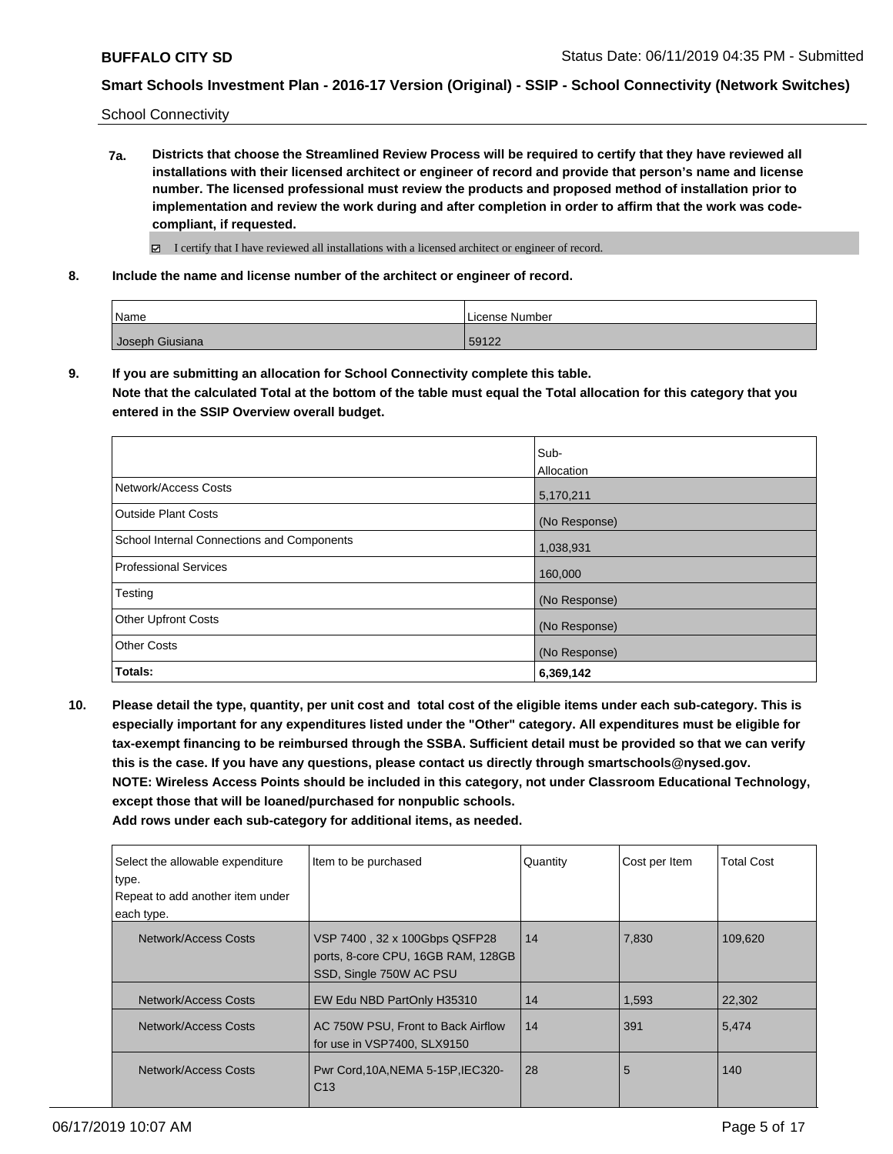School Connectivity

**7a. Districts that choose the Streamlined Review Process will be required to certify that they have reviewed all installations with their licensed architect or engineer of record and provide that person's name and license number. The licensed professional must review the products and proposed method of installation prior to implementation and review the work during and after completion in order to affirm that the work was codecompliant, if requested.**

■ I certify that I have reviewed all installations with a licensed architect or engineer of record.

**8. Include the name and license number of the architect or engineer of record.**

| Name            | License Number |
|-----------------|----------------|
| Joseph Giusiana | 59122          |

**9. If you are submitting an allocation for School Connectivity complete this table. Note that the calculated Total at the bottom of the table must equal the Total allocation for this category that you entered in the SSIP Overview overall budget.** 

|                                            | Sub-<br>Allocation |
|--------------------------------------------|--------------------|
| Network/Access Costs                       | 5,170,211          |
| Outside Plant Costs                        | (No Response)      |
| School Internal Connections and Components | 1,038,931          |
| <b>Professional Services</b>               | 160,000            |
| Testing                                    | (No Response)      |
| <b>Other Upfront Costs</b>                 | (No Response)      |
| <b>Other Costs</b>                         | (No Response)      |
| Totals:                                    | 6,369,142          |

**10. Please detail the type, quantity, per unit cost and total cost of the eligible items under each sub-category. This is especially important for any expenditures listed under the "Other" category. All expenditures must be eligible for tax-exempt financing to be reimbursed through the SSBA. Sufficient detail must be provided so that we can verify this is the case. If you have any questions, please contact us directly through smartschools@nysed.gov. NOTE: Wireless Access Points should be included in this category, not under Classroom Educational Technology, except those that will be loaned/purchased for nonpublic schools.**

| Select the allowable expenditure<br>type.<br>Repeat to add another item under<br>each type. | Item to be purchased                                                                           | Quantity | Cost per Item | <b>Total Cost</b> |
|---------------------------------------------------------------------------------------------|------------------------------------------------------------------------------------------------|----------|---------------|-------------------|
| Network/Access Costs                                                                        | VSP 7400, 32 x 100Gbps QSFP28<br>ports, 8-core CPU, 16GB RAM, 128GB<br>SSD, Single 750W AC PSU | 14       | 7,830         | 109.620           |
| Network/Access Costs                                                                        | EW Edu NBD PartOnly H35310                                                                     | 14       | 1,593         | 22,302            |
| Network/Access Costs                                                                        | AC 750W PSU, Front to Back Airflow<br>for use in VSP7400, SLX9150                              | 14       | 391           | 5,474             |
| Network/Access Costs                                                                        | Pwr Cord, 10A, NEMA 5-15P, IEC320-<br> C13                                                     | 28       | 5             | 140               |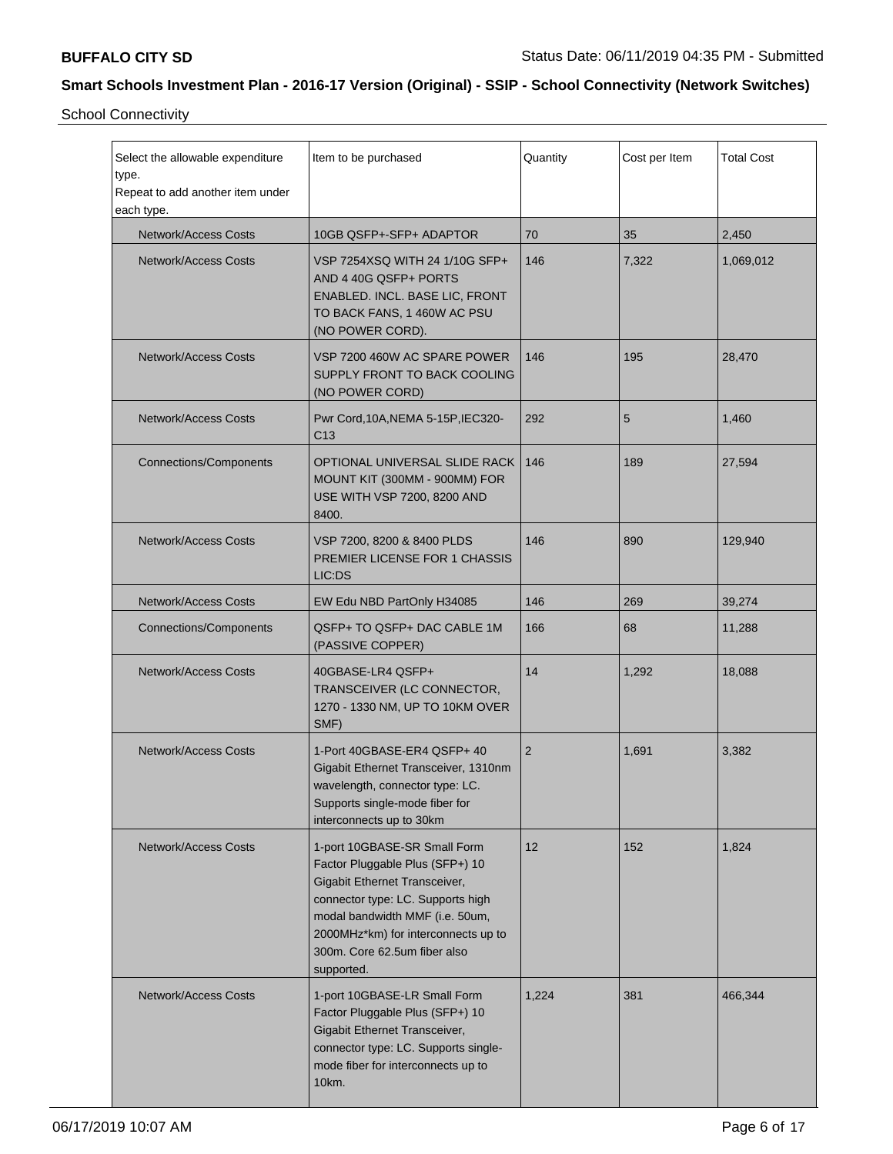School Connectivity

| Select the allowable expenditure<br>type.<br>Repeat to add another item under<br>each type. | Item to be purchased                                                                                                                                                                                                                                          | Quantity | Cost per Item | <b>Total Cost</b> |
|---------------------------------------------------------------------------------------------|---------------------------------------------------------------------------------------------------------------------------------------------------------------------------------------------------------------------------------------------------------------|----------|---------------|-------------------|
| <b>Network/Access Costs</b>                                                                 | 10GB QSFP+-SFP+ ADAPTOR                                                                                                                                                                                                                                       | 70       | 35            | 2,450             |
| <b>Network/Access Costs</b>                                                                 | VSP 7254XSQ WITH 24 1/10G SFP+<br>AND 4 40G QSFP+ PORTS<br>ENABLED. INCL. BASE LIC, FRONT<br>TO BACK FANS, 1 460W AC PSU<br>(NO POWER CORD).                                                                                                                  | 146      | 7,322         | 1,069,012         |
| <b>Network/Access Costs</b>                                                                 | VSP 7200 460W AC SPARE POWER<br>SUPPLY FRONT TO BACK COOLING<br>(NO POWER CORD)                                                                                                                                                                               | 146      | 195           | 28,470            |
| <b>Network/Access Costs</b>                                                                 | Pwr Cord, 10A, NEMA 5-15P, IEC320-<br>C13                                                                                                                                                                                                                     | 292      | 5             | 1,460             |
| <b>Connections/Components</b>                                                               | OPTIONAL UNIVERSAL SLIDE RACK<br>MOUNT KIT (300MM - 900MM) FOR<br>USE WITH VSP 7200, 8200 AND<br>8400.                                                                                                                                                        | 146      | 189           | 27,594            |
| <b>Network/Access Costs</b>                                                                 | VSP 7200, 8200 & 8400 PLDS<br>PREMIER LICENSE FOR 1 CHASSIS<br>LIC:DS                                                                                                                                                                                         | 146      | 890           | 129,940           |
| <b>Network/Access Costs</b>                                                                 | EW Edu NBD PartOnly H34085                                                                                                                                                                                                                                    | 146      | 269           | 39,274            |
| <b>Connections/Components</b>                                                               | QSFP+ TO QSFP+ DAC CABLE 1M<br>(PASSIVE COPPER)                                                                                                                                                                                                               | 166      | 68            | 11,288            |
| <b>Network/Access Costs</b>                                                                 | 40GBASE-LR4 QSFP+<br>TRANSCEIVER (LC CONNECTOR,<br>1270 - 1330 NM, UP TO 10KM OVER<br>SMF)                                                                                                                                                                    | 14       | 1,292         | 18,088            |
| <b>Network/Access Costs</b>                                                                 | 1-Port 40GBASE-ER4 QSFP+ 40<br>Gigabit Ethernet Transceiver, 1310nm<br>wavelength, connector type: LC.<br>Supports single-mode fiber for<br>interconnects up to 30km                                                                                          | 2        | 1,691         | 3,382             |
| <b>Network/Access Costs</b>                                                                 | 1-port 10GBASE-SR Small Form<br>Factor Pluggable Plus (SFP+) 10<br>Gigabit Ethernet Transceiver,<br>connector type: LC. Supports high<br>modal bandwidth MMF (i.e. 50um,<br>2000MHz*km) for interconnects up to<br>300m. Core 62.5um fiber also<br>supported. | 12       | 152           | 1,824             |
| <b>Network/Access Costs</b>                                                                 | 1-port 10GBASE-LR Small Form<br>Factor Pluggable Plus (SFP+) 10<br>Gigabit Ethernet Transceiver,<br>connector type: LC. Supports single-<br>mode fiber for interconnects up to<br>10km.                                                                       | 1,224    | 381           | 466,344           |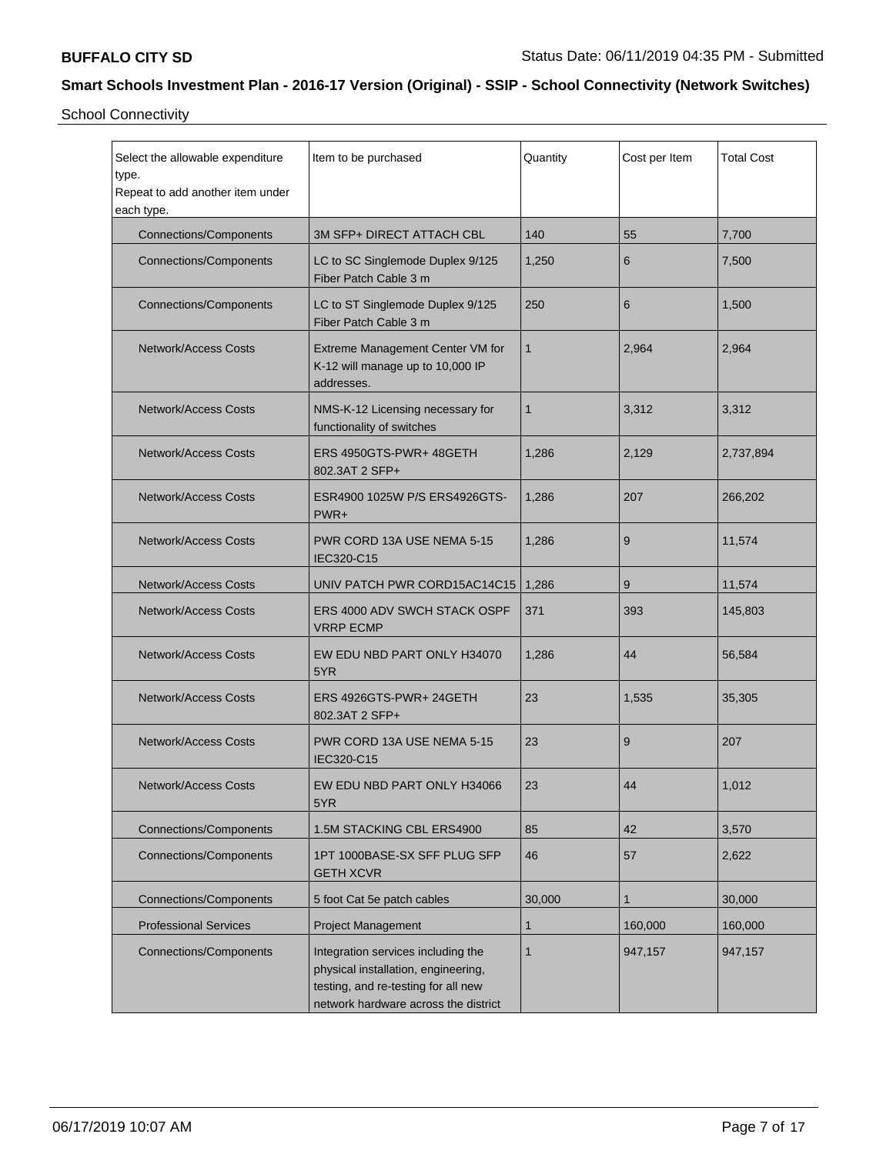School Connectivity

| Select the allowable expenditure<br>type.<br>Repeat to add another item under<br>each type. | Item to be purchased                                                                                                                                     | Quantity | Cost per Item | <b>Total Cost</b> |
|---------------------------------------------------------------------------------------------|----------------------------------------------------------------------------------------------------------------------------------------------------------|----------|---------------|-------------------|
| <b>Connections/Components</b>                                                               | 3M SFP+ DIRECT ATTACH CBL                                                                                                                                | 140      | 55            | 7,700             |
| Connections/Components                                                                      | LC to SC Singlemode Duplex 9/125<br>Fiber Patch Cable 3 m                                                                                                | 1,250    | 6             | 7,500             |
| <b>Connections/Components</b>                                                               | LC to ST Singlemode Duplex 9/125<br>Fiber Patch Cable 3 m                                                                                                | 250      | 6             | 1,500             |
| Network/Access Costs                                                                        | Extreme Management Center VM for<br>K-12 will manage up to 10,000 IP<br>addresses.                                                                       | 1        | 2,964         | 2,964             |
| <b>Network/Access Costs</b>                                                                 | NMS-K-12 Licensing necessary for<br>functionality of switches                                                                                            | 1        | 3,312         | 3,312             |
| <b>Network/Access Costs</b>                                                                 | ERS 4950GTS-PWR+ 48GETH<br>802.3AT 2 SFP+                                                                                                                | 1,286    | 2,129         | 2,737,894         |
| <b>Network/Access Costs</b>                                                                 | ESR4900 1025W P/S ERS4926GTS-<br>$PWR+$                                                                                                                  | 1,286    | 207           | 266,202           |
| <b>Network/Access Costs</b>                                                                 | PWR CORD 13A USE NEMA 5-15<br>IEC320-C15                                                                                                                 | 1,286    | 9             | 11,574            |
| <b>Network/Access Costs</b>                                                                 | UNIV PATCH PWR CORD15AC14C15                                                                                                                             | 1,286    | 9             | 11,574            |
| <b>Network/Access Costs</b>                                                                 | <b>ERS 4000 ADV SWCH STACK OSPF</b><br><b>VRRP ECMP</b>                                                                                                  | 371      | 393           | 145,803           |
| <b>Network/Access Costs</b>                                                                 | EW EDU NBD PART ONLY H34070<br>5YR                                                                                                                       | 1,286    | 44            | 56,584            |
| <b>Network/Access Costs</b>                                                                 | ERS 4926GTS-PWR+ 24GETH<br>802.3AT 2 SFP+                                                                                                                | 23       | 1,535         | 35,305            |
| <b>Network/Access Costs</b>                                                                 | PWR CORD 13A USE NEMA 5-15<br>IEC320-C15                                                                                                                 | 23       | 9             | 207               |
| Network/Access Costs                                                                        | EW EDU NBD PART ONLY H34066<br>5YR                                                                                                                       | 23       | 44            | 1,012             |
| <b>Connections/Components</b>                                                               | 1.5M STACKING CBL ERS4900                                                                                                                                | 85       | 42            | 3,570             |
| <b>Connections/Components</b>                                                               | 1PT 1000BASE-SX SFF PLUG SFP<br><b>GETH XCVR</b>                                                                                                         | 46       | 57            | 2,622             |
| Connections/Components                                                                      | 5 foot Cat 5e patch cables                                                                                                                               | 30,000   | 1             | 30,000            |
| <b>Professional Services</b>                                                                | <b>Project Management</b>                                                                                                                                | 1        | 160,000       | 160,000           |
| <b>Connections/Components</b>                                                               | Integration services including the<br>physical installation, engineering,<br>testing, and re-testing for all new<br>network hardware across the district | 1        | 947,157       | 947,157           |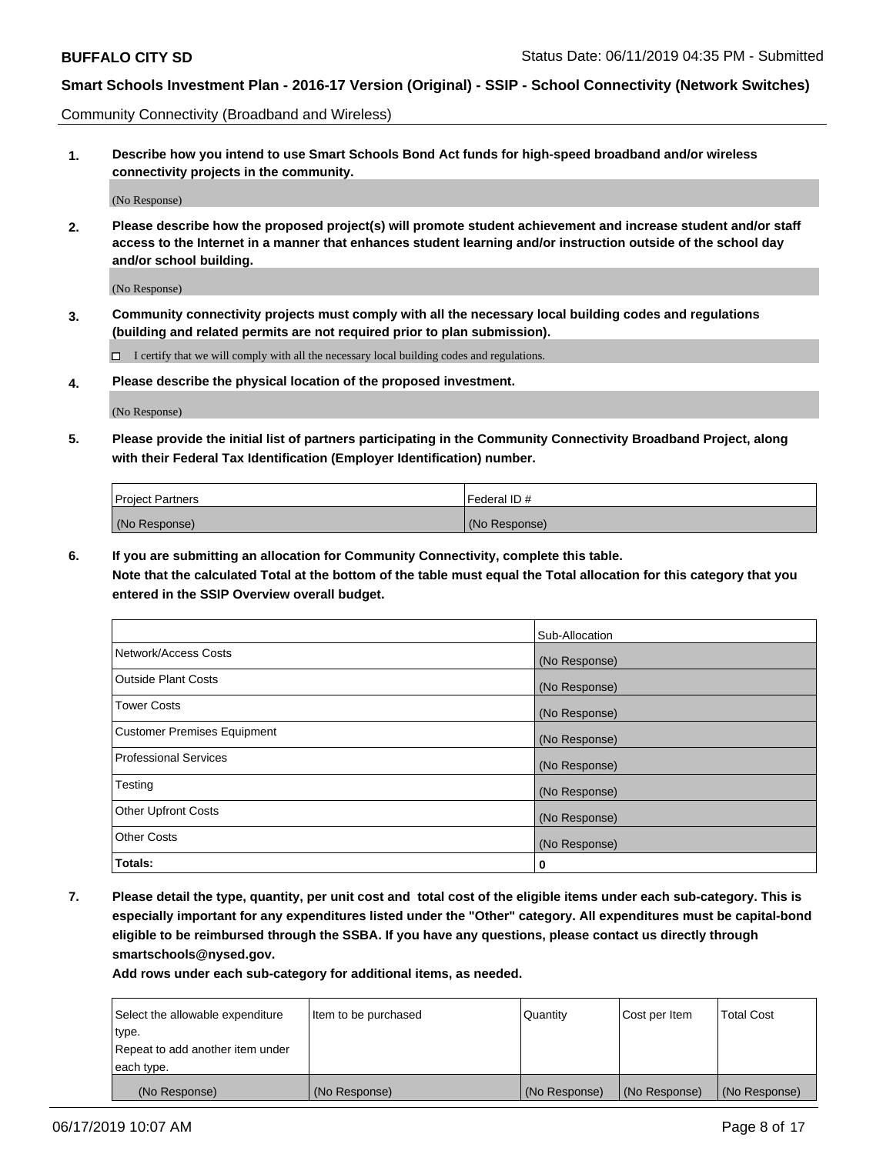Community Connectivity (Broadband and Wireless)

**1. Describe how you intend to use Smart Schools Bond Act funds for high-speed broadband and/or wireless connectivity projects in the community.**

(No Response)

**2. Please describe how the proposed project(s) will promote student achievement and increase student and/or staff access to the Internet in a manner that enhances student learning and/or instruction outside of the school day and/or school building.**

(No Response)

**3. Community connectivity projects must comply with all the necessary local building codes and regulations (building and related permits are not required prior to plan submission).**

 $\Box$  I certify that we will comply with all the necessary local building codes and regulations.

**4. Please describe the physical location of the proposed investment.**

(No Response)

**5. Please provide the initial list of partners participating in the Community Connectivity Broadband Project, along with their Federal Tax Identification (Employer Identification) number.**

| <b>Project Partners</b> | Federal ID#   |
|-------------------------|---------------|
| (No Response)           | (No Response) |

**6. If you are submitting an allocation for Community Connectivity, complete this table.**

**Note that the calculated Total at the bottom of the table must equal the Total allocation for this category that you entered in the SSIP Overview overall budget.**

|                                    | Sub-Allocation |
|------------------------------------|----------------|
| Network/Access Costs               | (No Response)  |
| <b>Outside Plant Costs</b>         | (No Response)  |
| <b>Tower Costs</b>                 | (No Response)  |
| <b>Customer Premises Equipment</b> | (No Response)  |
| <b>Professional Services</b>       | (No Response)  |
| Testing                            | (No Response)  |
| <b>Other Upfront Costs</b>         | (No Response)  |
| <b>Other Costs</b>                 | (No Response)  |
| Totals:                            | 0              |

**7. Please detail the type, quantity, per unit cost and total cost of the eligible items under each sub-category. This is especially important for any expenditures listed under the "Other" category. All expenditures must be capital-bond eligible to be reimbursed through the SSBA. If you have any questions, please contact us directly through smartschools@nysed.gov.**

| Select the allowable expenditure | Item to be purchased | Quantity      | Cost per Item | <b>Total Cost</b> |
|----------------------------------|----------------------|---------------|---------------|-------------------|
| type.                            |                      |               |               |                   |
| Repeat to add another item under |                      |               |               |                   |
| each type.                       |                      |               |               |                   |
| (No Response)                    | (No Response)        | (No Response) | (No Response) | (No Response)     |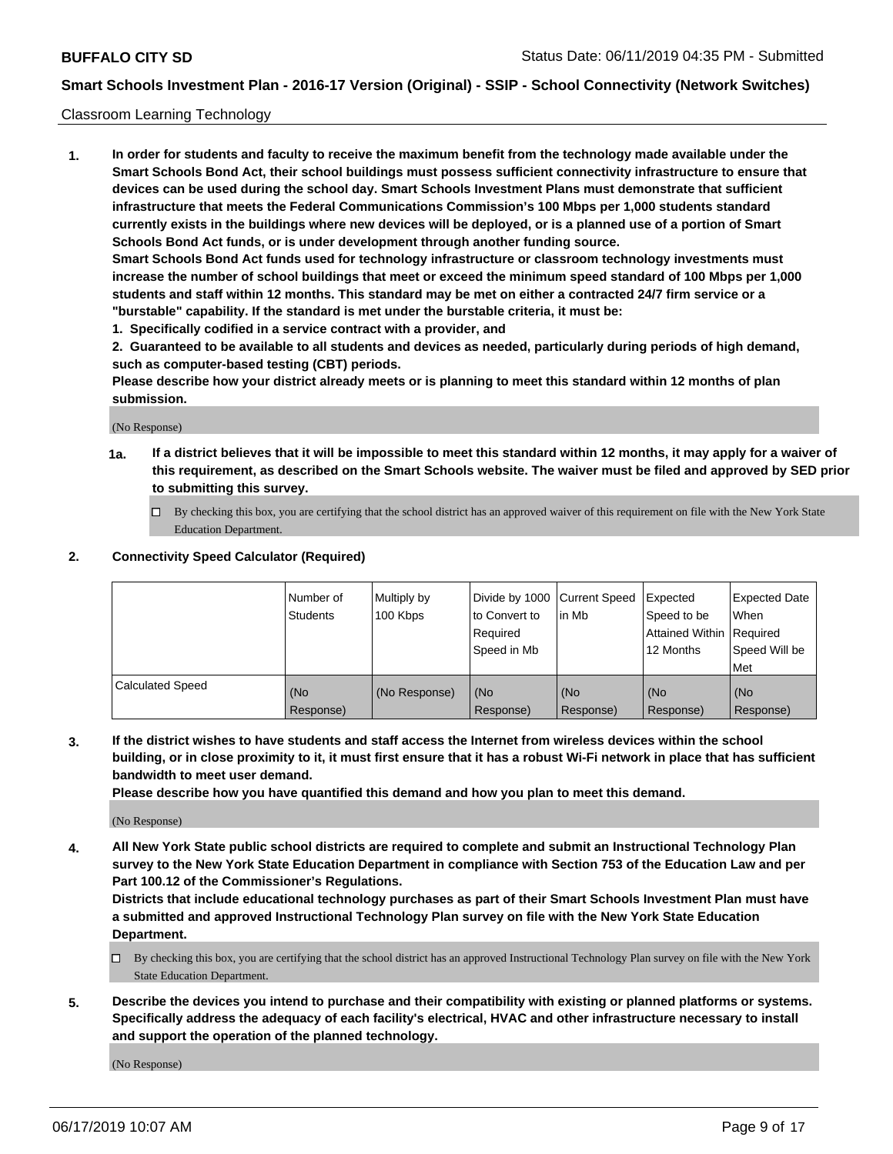#### Classroom Learning Technology

**1. In order for students and faculty to receive the maximum benefit from the technology made available under the Smart Schools Bond Act, their school buildings must possess sufficient connectivity infrastructure to ensure that devices can be used during the school day. Smart Schools Investment Plans must demonstrate that sufficient infrastructure that meets the Federal Communications Commission's 100 Mbps per 1,000 students standard currently exists in the buildings where new devices will be deployed, or is a planned use of a portion of Smart Schools Bond Act funds, or is under development through another funding source. Smart Schools Bond Act funds used for technology infrastructure or classroom technology investments must increase the number of school buildings that meet or exceed the minimum speed standard of 100 Mbps per 1,000 students and staff within 12 months. This standard may be met on either a contracted 24/7 firm service or a**

- **"burstable" capability. If the standard is met under the burstable criteria, it must be:**
- **1. Specifically codified in a service contract with a provider, and**

**2. Guaranteed to be available to all students and devices as needed, particularly during periods of high demand, such as computer-based testing (CBT) periods.**

**Please describe how your district already meets or is planning to meet this standard within 12 months of plan submission.**

(No Response)

- **1a. If a district believes that it will be impossible to meet this standard within 12 months, it may apply for a waiver of this requirement, as described on the Smart Schools website. The waiver must be filed and approved by SED prior to submitting this survey.**
	- By checking this box, you are certifying that the school district has an approved waiver of this requirement on file with the New York State Education Department.

#### **2. Connectivity Speed Calculator (Required)**

|                         | Number of<br><b>Students</b> | Multiply by<br>100 Kbps | Divide by 1000   Current Speed<br>to Convert to<br>Reauired<br>Speed in Mb | lin Mb           | Expected<br>Speed to be<br>Attained Within   Required<br>12 Months | <b>Expected Date</b><br>When<br>Speed Will be<br>Met |
|-------------------------|------------------------------|-------------------------|----------------------------------------------------------------------------|------------------|--------------------------------------------------------------------|------------------------------------------------------|
| <b>Calculated Speed</b> | (No<br>Response)             | (No Response)           | (No<br>Response)                                                           | (No<br>Response) | (No<br>Response)                                                   | (No<br>Response)                                     |

**3. If the district wishes to have students and staff access the Internet from wireless devices within the school building, or in close proximity to it, it must first ensure that it has a robust Wi-Fi network in place that has sufficient bandwidth to meet user demand.**

**Please describe how you have quantified this demand and how you plan to meet this demand.**

(No Response)

**4. All New York State public school districts are required to complete and submit an Instructional Technology Plan survey to the New York State Education Department in compliance with Section 753 of the Education Law and per Part 100.12 of the Commissioner's Regulations.**

**Districts that include educational technology purchases as part of their Smart Schools Investment Plan must have a submitted and approved Instructional Technology Plan survey on file with the New York State Education Department.**

- $\Box$  By checking this box, you are certifying that the school district has an approved Instructional Technology Plan survey on file with the New York State Education Department.
- **5. Describe the devices you intend to purchase and their compatibility with existing or planned platforms or systems. Specifically address the adequacy of each facility's electrical, HVAC and other infrastructure necessary to install and support the operation of the planned technology.**

(No Response)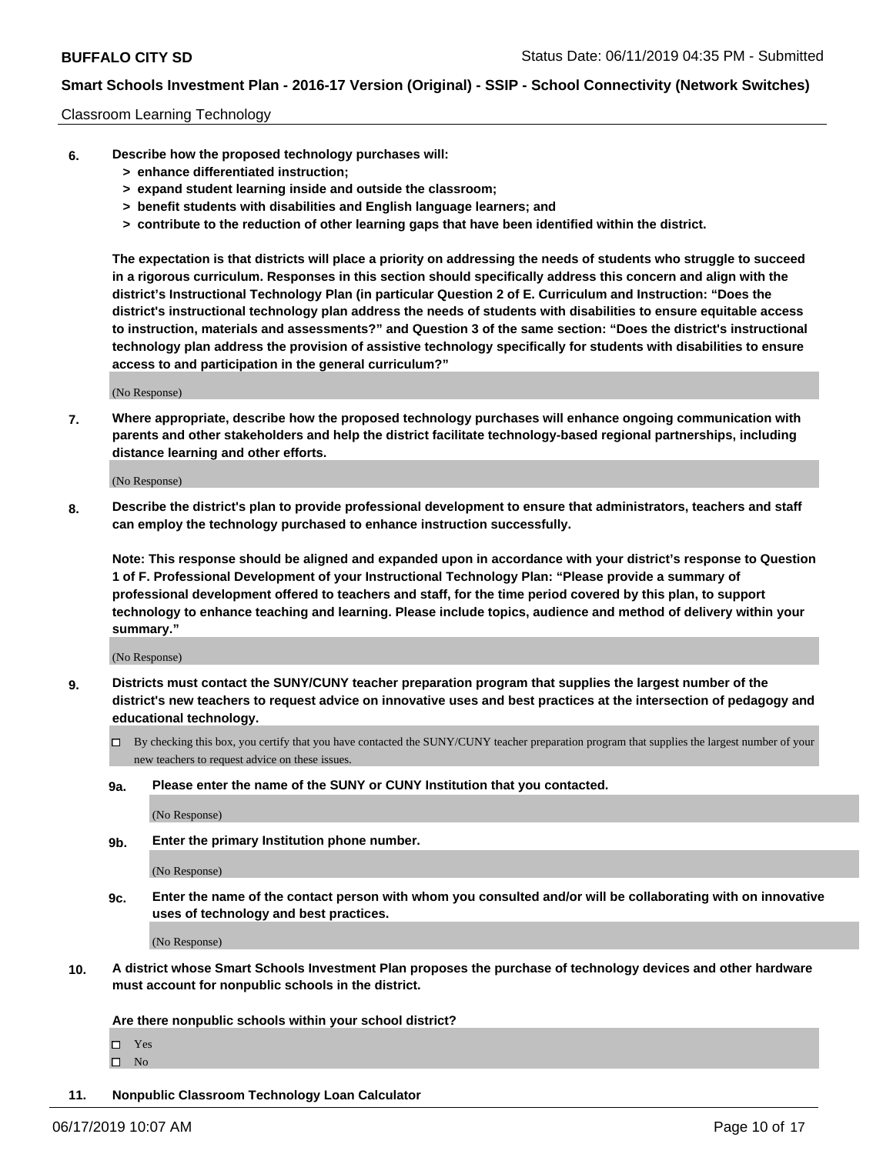#### Classroom Learning Technology

- **6. Describe how the proposed technology purchases will:**
	- **> enhance differentiated instruction;**
	- **> expand student learning inside and outside the classroom;**
	- **> benefit students with disabilities and English language learners; and**
	- **> contribute to the reduction of other learning gaps that have been identified within the district.**

**The expectation is that districts will place a priority on addressing the needs of students who struggle to succeed in a rigorous curriculum. Responses in this section should specifically address this concern and align with the district's Instructional Technology Plan (in particular Question 2 of E. Curriculum and Instruction: "Does the district's instructional technology plan address the needs of students with disabilities to ensure equitable access to instruction, materials and assessments?" and Question 3 of the same section: "Does the district's instructional technology plan address the provision of assistive technology specifically for students with disabilities to ensure access to and participation in the general curriculum?"**

(No Response)

**7. Where appropriate, describe how the proposed technology purchases will enhance ongoing communication with parents and other stakeholders and help the district facilitate technology-based regional partnerships, including distance learning and other efforts.**

(No Response)

**8. Describe the district's plan to provide professional development to ensure that administrators, teachers and staff can employ the technology purchased to enhance instruction successfully.**

**Note: This response should be aligned and expanded upon in accordance with your district's response to Question 1 of F. Professional Development of your Instructional Technology Plan: "Please provide a summary of professional development offered to teachers and staff, for the time period covered by this plan, to support technology to enhance teaching and learning. Please include topics, audience and method of delivery within your summary."**

(No Response)

- **9. Districts must contact the SUNY/CUNY teacher preparation program that supplies the largest number of the district's new teachers to request advice on innovative uses and best practices at the intersection of pedagogy and educational technology.**
	- By checking this box, you certify that you have contacted the SUNY/CUNY teacher preparation program that supplies the largest number of your new teachers to request advice on these issues.
	- **9a. Please enter the name of the SUNY or CUNY Institution that you contacted.**

(No Response)

**9b. Enter the primary Institution phone number.**

(No Response)

**9c. Enter the name of the contact person with whom you consulted and/or will be collaborating with on innovative uses of technology and best practices.**

(No Response)

**10. A district whose Smart Schools Investment Plan proposes the purchase of technology devices and other hardware must account for nonpublic schools in the district.**

**Are there nonpublic schools within your school district?**

Yes

 $\square$  No

**11. Nonpublic Classroom Technology Loan Calculator**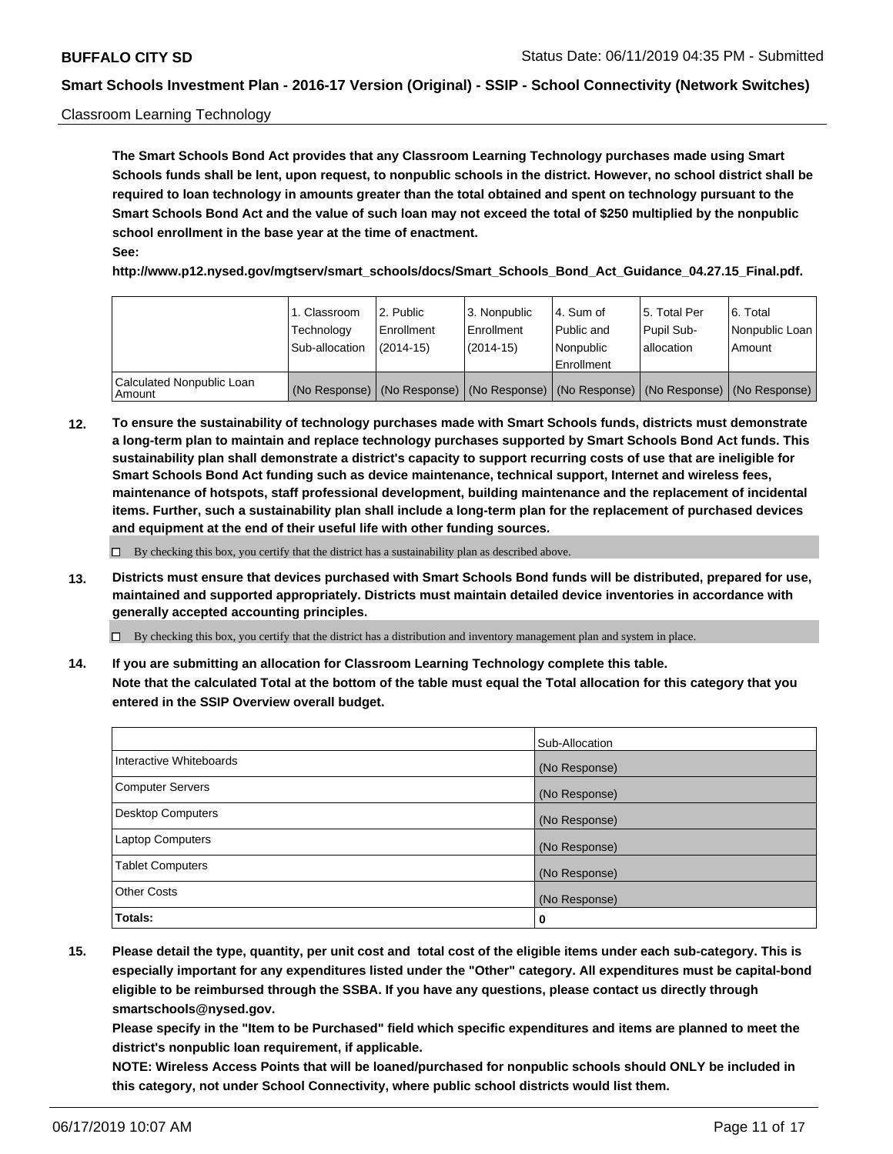#### Classroom Learning Technology

**The Smart Schools Bond Act provides that any Classroom Learning Technology purchases made using Smart Schools funds shall be lent, upon request, to nonpublic schools in the district. However, no school district shall be required to loan technology in amounts greater than the total obtained and spent on technology pursuant to the Smart Schools Bond Act and the value of such loan may not exceed the total of \$250 multiplied by the nonpublic school enrollment in the base year at the time of enactment. See:**

**http://www.p12.nysed.gov/mgtserv/smart\_schools/docs/Smart\_Schools\_Bond\_Act\_Guidance\_04.27.15\_Final.pdf.**

|                                       | 1. Classroom<br>Technology<br>Sub-allocation | l 2. Public<br>Enrollment<br>$(2014-15)$ | 3. Nonpublic<br>l Enrollment<br>(2014-15) | l 4. Sum of<br>Public and<br>l Nonpublic<br>Enrollment                                        | 15. Total Per<br>Pupil Sub-<br>l allocation | l 6. Total<br>Nonpublic Loan<br>Amount |
|---------------------------------------|----------------------------------------------|------------------------------------------|-------------------------------------------|-----------------------------------------------------------------------------------------------|---------------------------------------------|----------------------------------------|
| Calculated Nonpublic Loan<br>l Amount |                                              |                                          |                                           | (No Response)   (No Response)   (No Response)   (No Response)   (No Response)   (No Response) |                                             |                                        |

**12. To ensure the sustainability of technology purchases made with Smart Schools funds, districts must demonstrate a long-term plan to maintain and replace technology purchases supported by Smart Schools Bond Act funds. This sustainability plan shall demonstrate a district's capacity to support recurring costs of use that are ineligible for Smart Schools Bond Act funding such as device maintenance, technical support, Internet and wireless fees, maintenance of hotspots, staff professional development, building maintenance and the replacement of incidental items. Further, such a sustainability plan shall include a long-term plan for the replacement of purchased devices and equipment at the end of their useful life with other funding sources.**

 $\Box$  By checking this box, you certify that the district has a sustainability plan as described above.

**13. Districts must ensure that devices purchased with Smart Schools Bond funds will be distributed, prepared for use, maintained and supported appropriately. Districts must maintain detailed device inventories in accordance with generally accepted accounting principles.**

By checking this box, you certify that the district has a distribution and inventory management plan and system in place.

**14. If you are submitting an allocation for Classroom Learning Technology complete this table. Note that the calculated Total at the bottom of the table must equal the Total allocation for this category that you entered in the SSIP Overview overall budget.**

|                         | Sub-Allocation |
|-------------------------|----------------|
| Interactive Whiteboards | (No Response)  |
| Computer Servers        | (No Response)  |
| Desktop Computers       | (No Response)  |
| Laptop Computers        | (No Response)  |
| <b>Tablet Computers</b> | (No Response)  |
| <b>Other Costs</b>      | (No Response)  |
| Totals:                 | 0              |

**15. Please detail the type, quantity, per unit cost and total cost of the eligible items under each sub-category. This is especially important for any expenditures listed under the "Other" category. All expenditures must be capital-bond eligible to be reimbursed through the SSBA. If you have any questions, please contact us directly through smartschools@nysed.gov.**

**Please specify in the "Item to be Purchased" field which specific expenditures and items are planned to meet the district's nonpublic loan requirement, if applicable.**

**NOTE: Wireless Access Points that will be loaned/purchased for nonpublic schools should ONLY be included in this category, not under School Connectivity, where public school districts would list them.**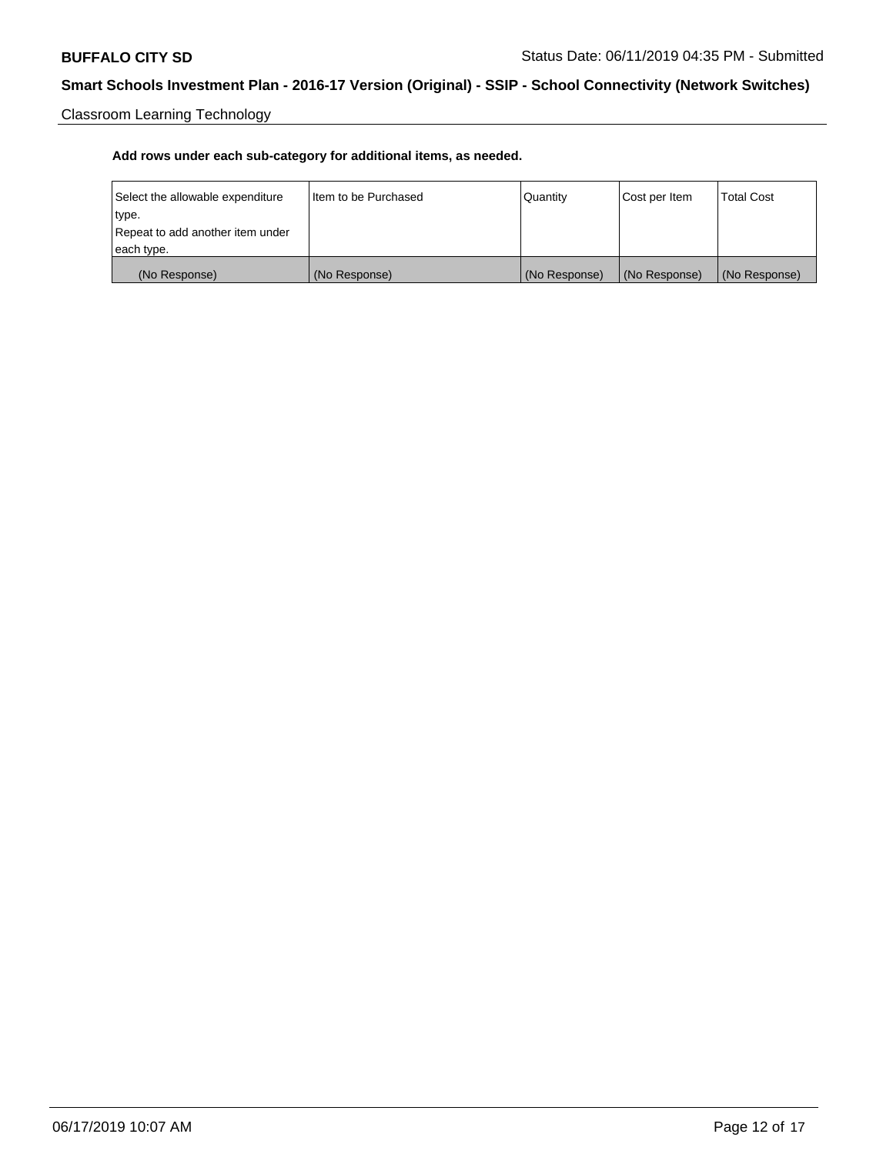Classroom Learning Technology

| Select the allowable expenditure | Iltem to be Purchased | Quantity      | Cost per Item | <b>Total Cost</b> |
|----------------------------------|-----------------------|---------------|---------------|-------------------|
| type.                            |                       |               |               |                   |
| Repeat to add another item under |                       |               |               |                   |
| each type.                       |                       |               |               |                   |
| (No Response)                    | (No Response)         | (No Response) | (No Response) | (No Response)     |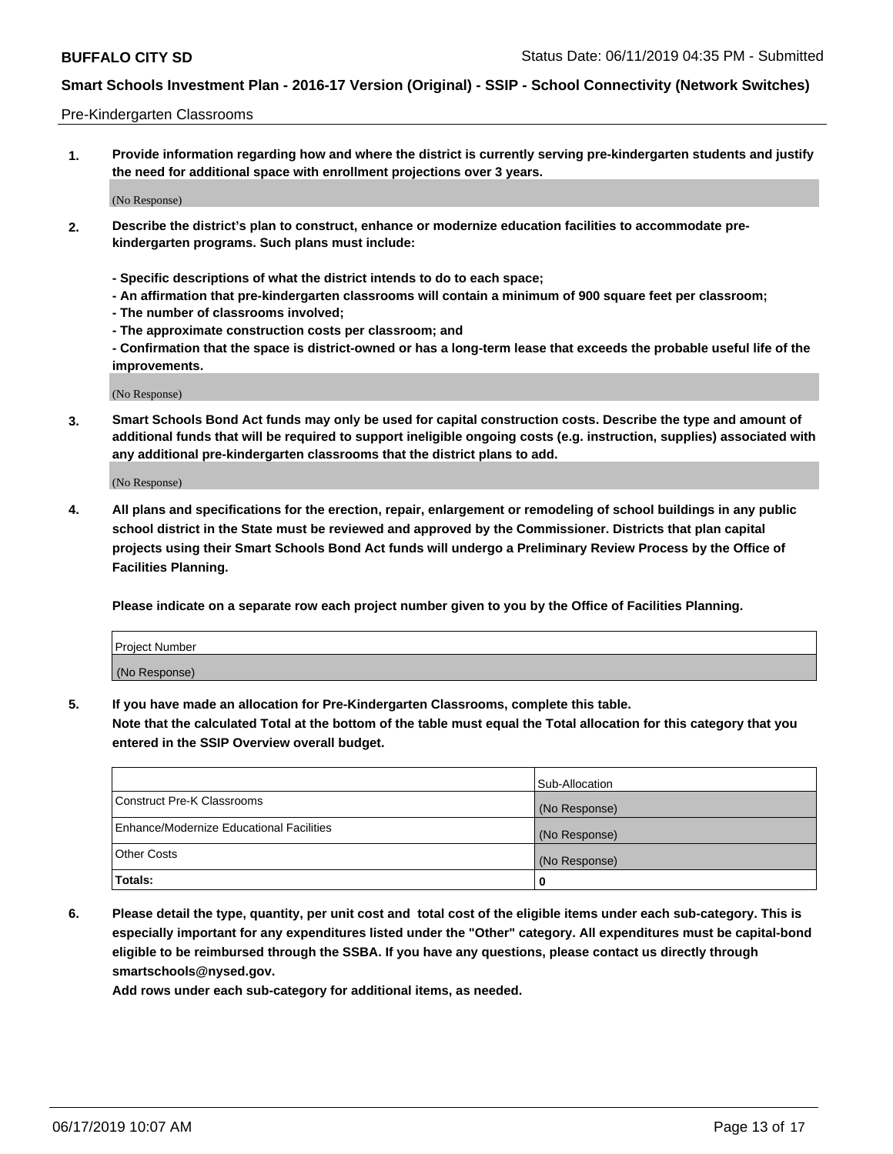#### Pre-Kindergarten Classrooms

**1. Provide information regarding how and where the district is currently serving pre-kindergarten students and justify the need for additional space with enrollment projections over 3 years.**

(No Response)

- **2. Describe the district's plan to construct, enhance or modernize education facilities to accommodate prekindergarten programs. Such plans must include:**
	- **Specific descriptions of what the district intends to do to each space;**
	- **An affirmation that pre-kindergarten classrooms will contain a minimum of 900 square feet per classroom;**
	- **The number of classrooms involved;**
	- **The approximate construction costs per classroom; and**
	- **Confirmation that the space is district-owned or has a long-term lease that exceeds the probable useful life of the improvements.**

(No Response)

**3. Smart Schools Bond Act funds may only be used for capital construction costs. Describe the type and amount of additional funds that will be required to support ineligible ongoing costs (e.g. instruction, supplies) associated with any additional pre-kindergarten classrooms that the district plans to add.**

(No Response)

**4. All plans and specifications for the erection, repair, enlargement or remodeling of school buildings in any public school district in the State must be reviewed and approved by the Commissioner. Districts that plan capital projects using their Smart Schools Bond Act funds will undergo a Preliminary Review Process by the Office of Facilities Planning.**

**Please indicate on a separate row each project number given to you by the Office of Facilities Planning.**

| Project Number |  |
|----------------|--|
| (No Response)  |  |
|                |  |

**5. If you have made an allocation for Pre-Kindergarten Classrooms, complete this table.**

**Note that the calculated Total at the bottom of the table must equal the Total allocation for this category that you entered in the SSIP Overview overall budget.**

|                                          | Sub-Allocation |
|------------------------------------------|----------------|
| Construct Pre-K Classrooms               | (No Response)  |
| Enhance/Modernize Educational Facilities | (No Response)  |
| <b>Other Costs</b>                       | (No Response)  |
| Totals:                                  | 0              |

**6. Please detail the type, quantity, per unit cost and total cost of the eligible items under each sub-category. This is especially important for any expenditures listed under the "Other" category. All expenditures must be capital-bond eligible to be reimbursed through the SSBA. If you have any questions, please contact us directly through smartschools@nysed.gov.**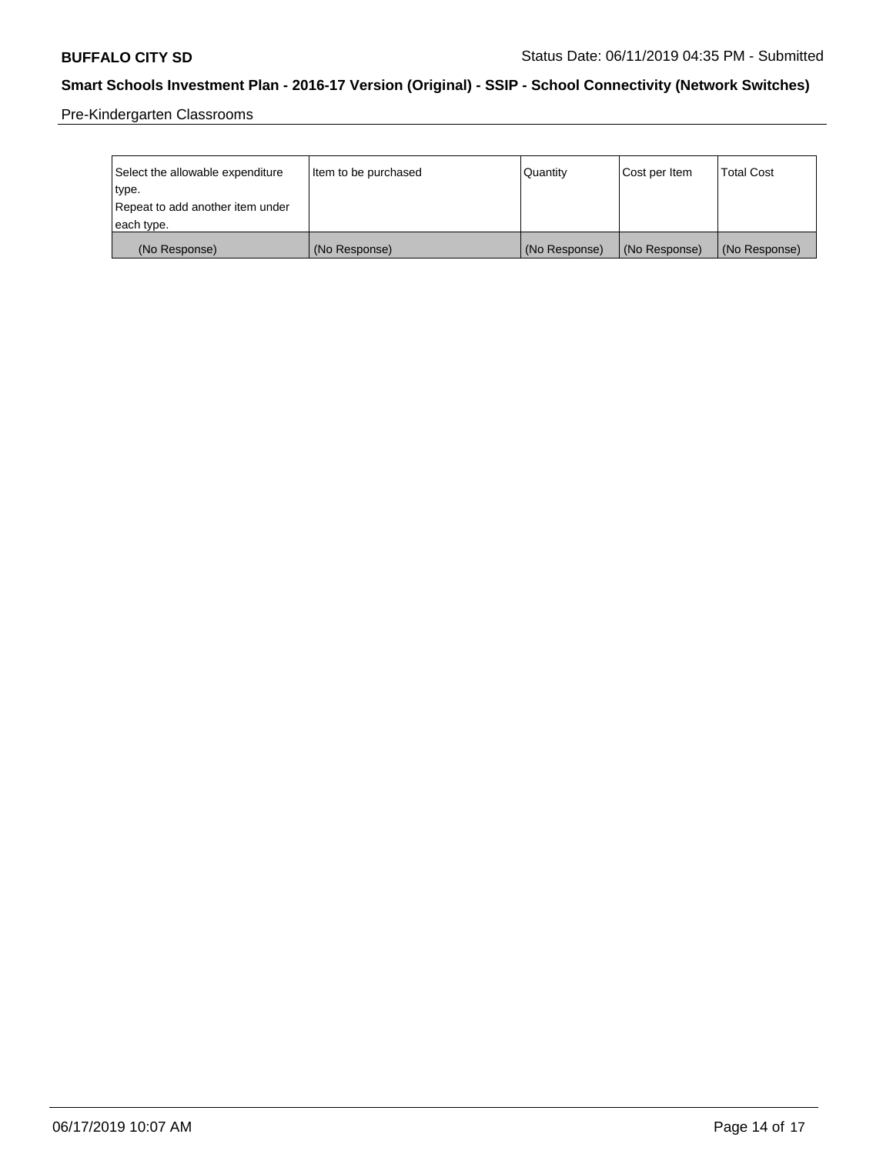Pre-Kindergarten Classrooms

| Select the allowable expenditure<br>type.      | Item to be purchased | Quantity      | Cost per Item | <b>Total Cost</b> |
|------------------------------------------------|----------------------|---------------|---------------|-------------------|
| Repeat to add another item under<br>each type. |                      |               |               |                   |
| (No Response)                                  | (No Response)        | (No Response) | (No Response) | (No Response)     |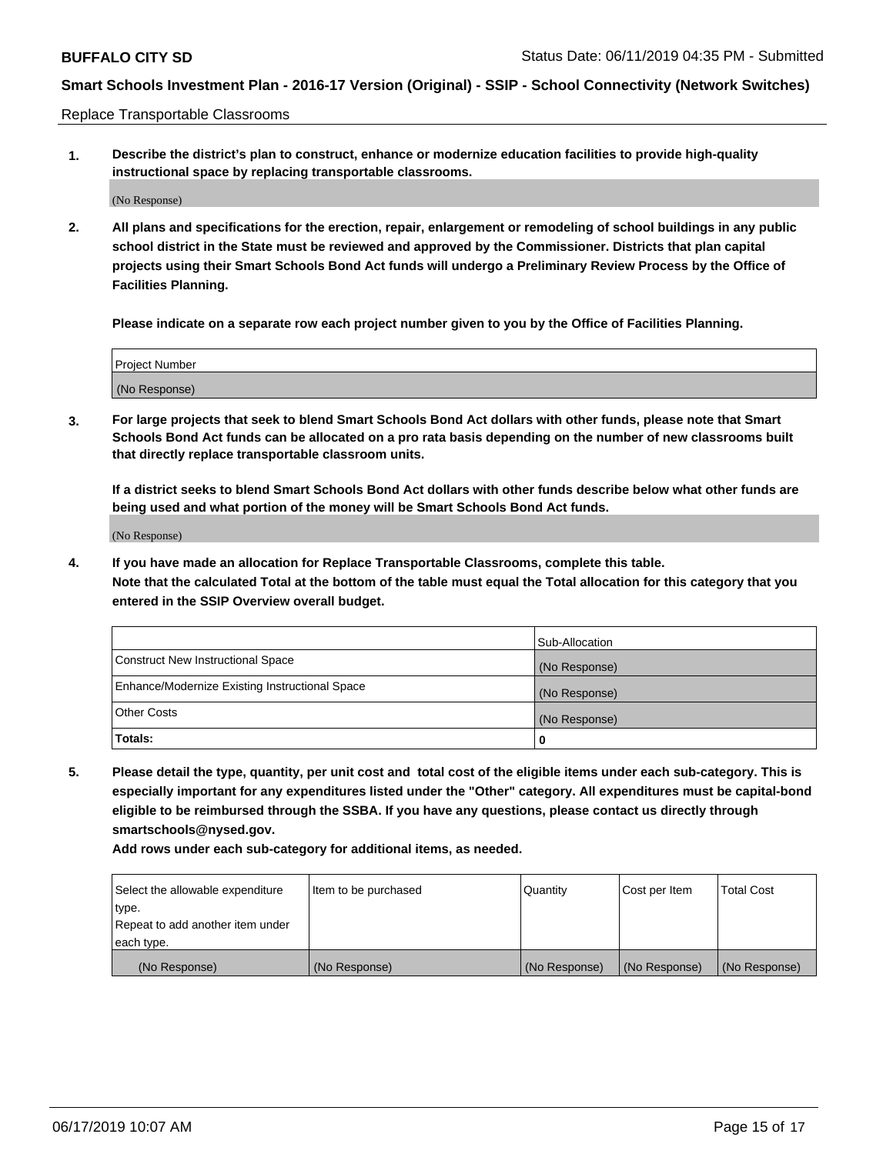Replace Transportable Classrooms

**1. Describe the district's plan to construct, enhance or modernize education facilities to provide high-quality instructional space by replacing transportable classrooms.**

(No Response)

**2. All plans and specifications for the erection, repair, enlargement or remodeling of school buildings in any public school district in the State must be reviewed and approved by the Commissioner. Districts that plan capital projects using their Smart Schools Bond Act funds will undergo a Preliminary Review Process by the Office of Facilities Planning.**

**Please indicate on a separate row each project number given to you by the Office of Facilities Planning.**

| Project Number |               |  |
|----------------|---------------|--|
|                |               |  |
|                |               |  |
|                | (No Response) |  |

**3. For large projects that seek to blend Smart Schools Bond Act dollars with other funds, please note that Smart Schools Bond Act funds can be allocated on a pro rata basis depending on the number of new classrooms built that directly replace transportable classroom units.**

**If a district seeks to blend Smart Schools Bond Act dollars with other funds describe below what other funds are being used and what portion of the money will be Smart Schools Bond Act funds.**

(No Response)

**4. If you have made an allocation for Replace Transportable Classrooms, complete this table. Note that the calculated Total at the bottom of the table must equal the Total allocation for this category that you entered in the SSIP Overview overall budget.**

|                                                | Sub-Allocation |
|------------------------------------------------|----------------|
| Construct New Instructional Space              | (No Response)  |
| Enhance/Modernize Existing Instructional Space | (No Response)  |
| <b>Other Costs</b>                             | (No Response)  |
| Totals:                                        | 0              |

**5. Please detail the type, quantity, per unit cost and total cost of the eligible items under each sub-category. This is especially important for any expenditures listed under the "Other" category. All expenditures must be capital-bond eligible to be reimbursed through the SSBA. If you have any questions, please contact us directly through smartschools@nysed.gov.**

| Select the allowable expenditure | Item to be purchased | l Quantitv    | Cost per Item | <b>Total Cost</b> |
|----------------------------------|----------------------|---------------|---------------|-------------------|
| type.                            |                      |               |               |                   |
| Repeat to add another item under |                      |               |               |                   |
| each type.                       |                      |               |               |                   |
| (No Response)                    | (No Response)        | (No Response) | (No Response) | (No Response)     |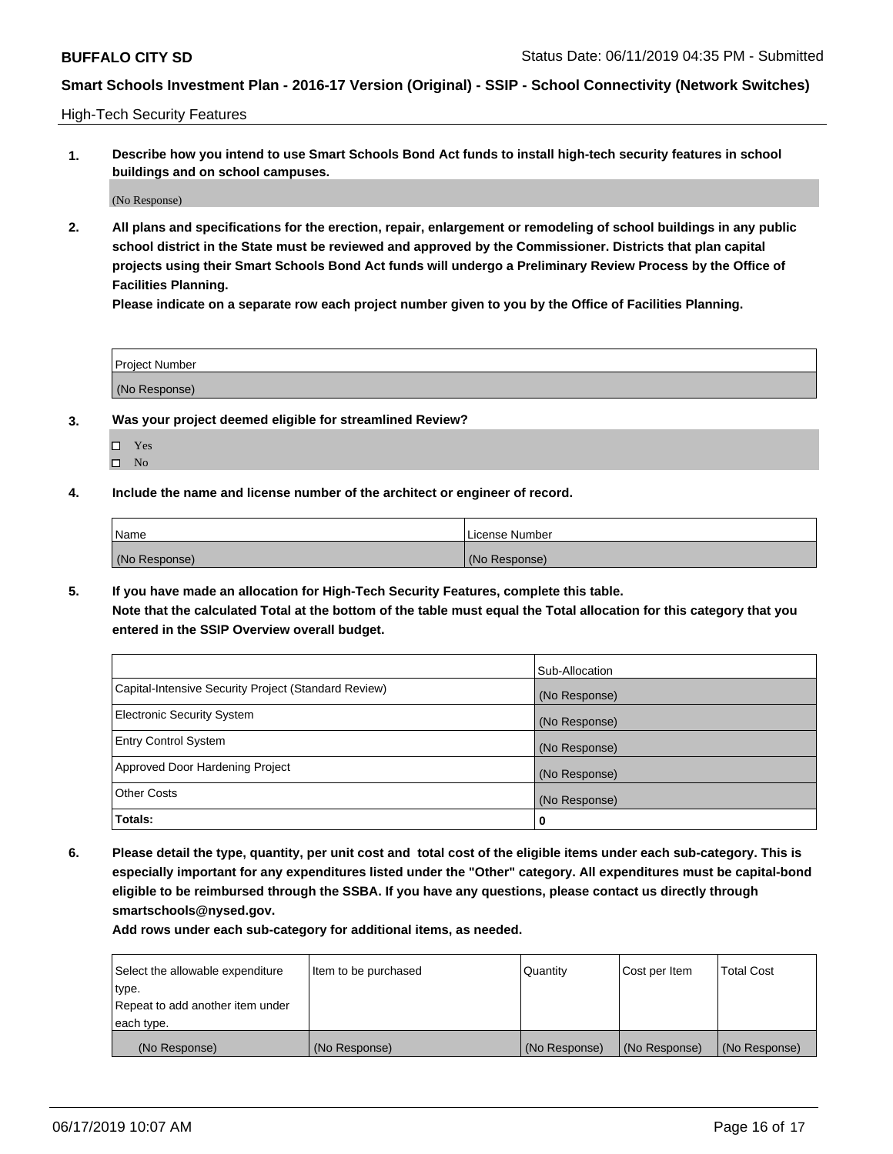High-Tech Security Features

**1. Describe how you intend to use Smart Schools Bond Act funds to install high-tech security features in school buildings and on school campuses.**

(No Response)

**2. All plans and specifications for the erection, repair, enlargement or remodeling of school buildings in any public school district in the State must be reviewed and approved by the Commissioner. Districts that plan capital projects using their Smart Schools Bond Act funds will undergo a Preliminary Review Process by the Office of Facilities Planning.** 

**Please indicate on a separate row each project number given to you by the Office of Facilities Planning.**

| <b>Project Number</b> |  |
|-----------------------|--|
| (No Response)         |  |

- **3. Was your project deemed eligible for streamlined Review?**
	- Yes
	- $\square$  No
- **4. Include the name and license number of the architect or engineer of record.**

| <b>Name</b>   | License Number |
|---------------|----------------|
| (No Response) | (No Response)  |

**5. If you have made an allocation for High-Tech Security Features, complete this table.**

**Note that the calculated Total at the bottom of the table must equal the Total allocation for this category that you entered in the SSIP Overview overall budget.**

|                                                      | Sub-Allocation |
|------------------------------------------------------|----------------|
| Capital-Intensive Security Project (Standard Review) | (No Response)  |
| <b>Electronic Security System</b>                    | (No Response)  |
| <b>Entry Control System</b>                          | (No Response)  |
| Approved Door Hardening Project                      | (No Response)  |
| <b>Other Costs</b>                                   | (No Response)  |
| Totals:                                              | 0              |

**6. Please detail the type, quantity, per unit cost and total cost of the eligible items under each sub-category. This is especially important for any expenditures listed under the "Other" category. All expenditures must be capital-bond eligible to be reimbursed through the SSBA. If you have any questions, please contact us directly through smartschools@nysed.gov.**

| Select the allowable expenditure | Item to be purchased | l Quantitv    | Cost per Item | <b>Total Cost</b> |
|----------------------------------|----------------------|---------------|---------------|-------------------|
| type.                            |                      |               |               |                   |
| Repeat to add another item under |                      |               |               |                   |
| each type.                       |                      |               |               |                   |
| (No Response)                    | (No Response)        | (No Response) | (No Response) | (No Response)     |